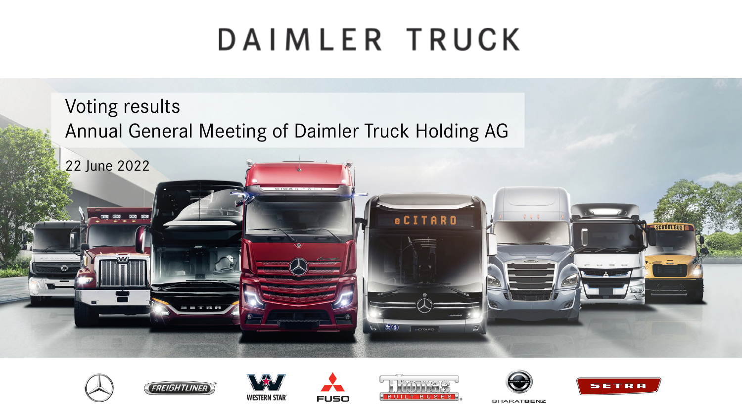# DAIMLER TRUCK

Voting results Annual General Meeting of Daimler Truck Holding AG















**BHARATBENZ**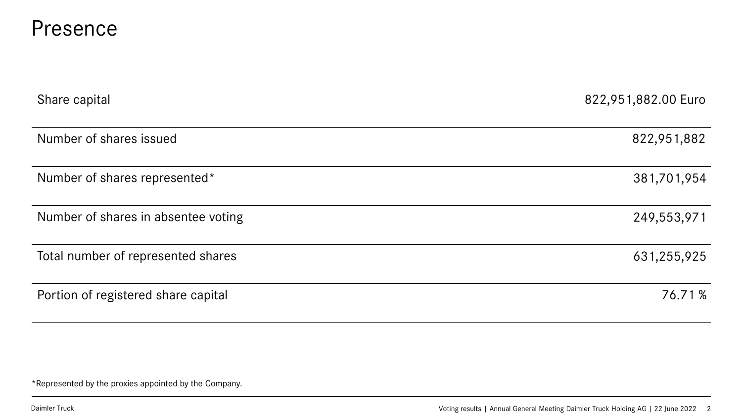#### Presence

| Share capital                       | 822,951,882.00 Euro |
|-------------------------------------|---------------------|
| Number of shares issued             | 822,951,882         |
| Number of shares represented*       | 381,701,954         |
| Number of shares in absentee voting | 249,553,971         |
| Total number of represented shares  | 631,255,925         |
| Portion of registered share capital | 76.71%              |

\*Represented by the proxies appointed by the Company.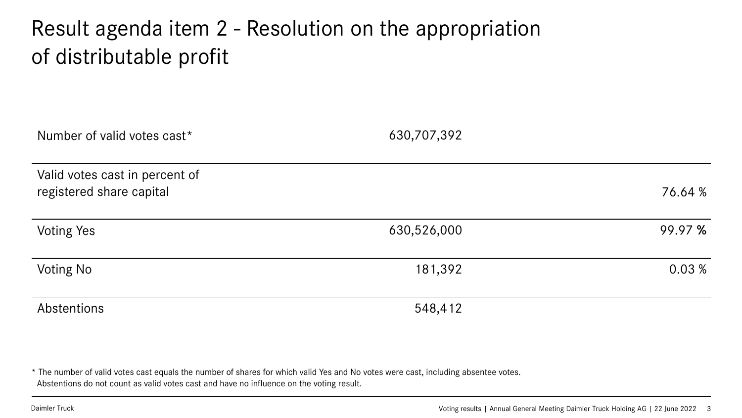#### Result agenda item 2 - Resolution on the appropriation of distributable profit

| Number of valid votes cast*                                | 630,707,392 |         |
|------------------------------------------------------------|-------------|---------|
| Valid votes cast in percent of<br>registered share capital |             | 76.64 % |
| <b>Voting Yes</b>                                          | 630,526,000 | 99.97 % |
| <b>Voting No</b>                                           | 181,392     | 0.03%   |
| Abstentions                                                | 548,412     |         |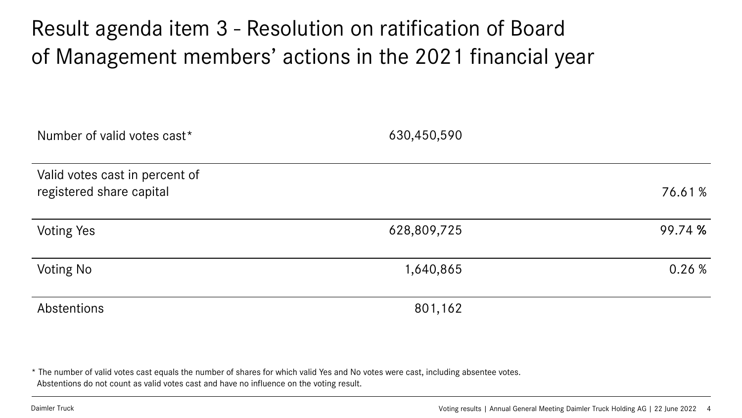#### Result agenda item 3 - Resolution on ratification of Board of Management members' actions in the 2021 financial year

| Number of valid votes cast*                                | 630,450,590 |         |
|------------------------------------------------------------|-------------|---------|
| Valid votes cast in percent of<br>registered share capital |             | 76.61%  |
| <b>Voting Yes</b>                                          | 628,809,725 | 99.74 % |
| Voting No                                                  | 1,640,865   | 0.26%   |
| Abstentions                                                | 801,162     |         |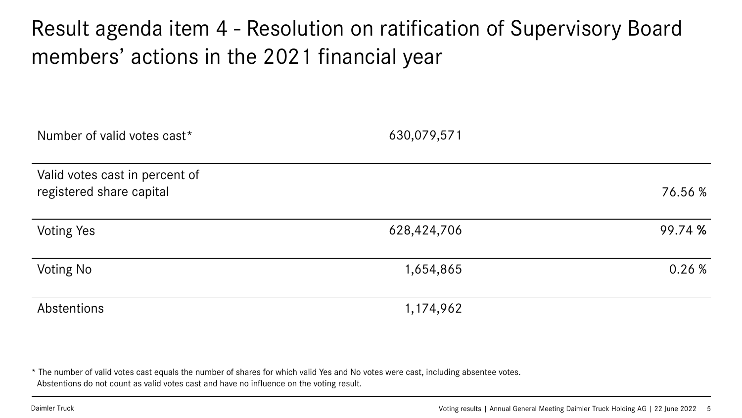#### Result agenda item 4 - Resolution on ratification of Supervisory Board members' actions in the 2021 financial year

| Number of valid votes cast*                                | 630,079,571 |         |
|------------------------------------------------------------|-------------|---------|
| Valid votes cast in percent of<br>registered share capital |             | 76.56 % |
| <b>Voting Yes</b>                                          | 628,424,706 | 99.74 % |
| Voting No                                                  | 1,654,865   | 0.26%   |
| Abstentions                                                | 1,174,962   |         |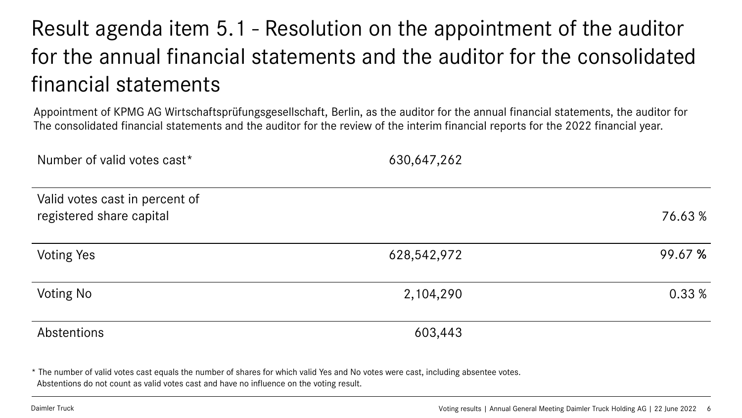### Result agenda item 5.1 - Resolution on the appointment of the auditor for the annual financial statements and the auditor for the consolidated financial statements

Appointment of KPMG AG Wirtschaftsprüfungsgesellschaft, Berlin, as the auditor for the annual financial statements, the auditor for The consolidated financial statements and the auditor for the review of the interim financial reports for the 2022 financial year.

| Number of valid votes cast*                                | 630,647,262 |         |
|------------------------------------------------------------|-------------|---------|
| Valid votes cast in percent of<br>registered share capital |             | 76.63%  |
| <b>Voting Yes</b>                                          | 628,542,972 | 99.67 % |
| <b>Voting No</b>                                           | 2,104,290   | 0.33 %  |
| Abstentions                                                | 603,443     |         |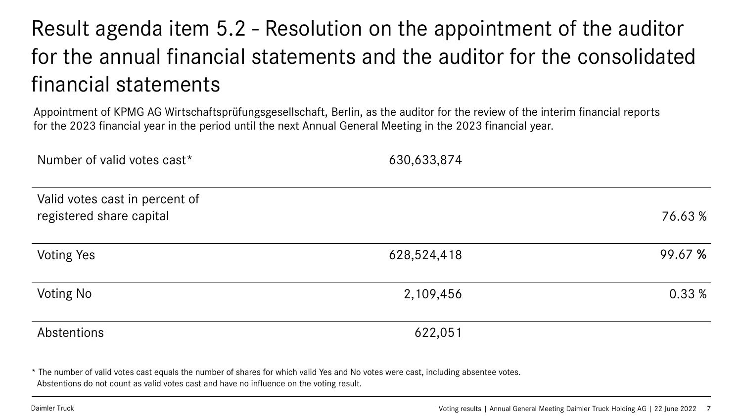### Result agenda item 5.2 - Resolution on the appointment of the auditor for the annual financial statements and the auditor for the consolidated financial statements

Appointment of KPMG AG Wirtschaftsprüfungsgesellschaft, Berlin, as the auditor for the review of the interim financial reports for the 2023 financial year in the period until the next Annual General Meeting in the 2023 financial year.

| Number of valid votes cast*                                | 630,633,874 |         |
|------------------------------------------------------------|-------------|---------|
| Valid votes cast in percent of<br>registered share capital |             | 76.63%  |
| <b>Voting Yes</b>                                          | 628,524,418 | 99.67 % |
| <b>Voting No</b>                                           | 2,109,456   | 0.33 %  |
| Abstentions                                                | 622,051     |         |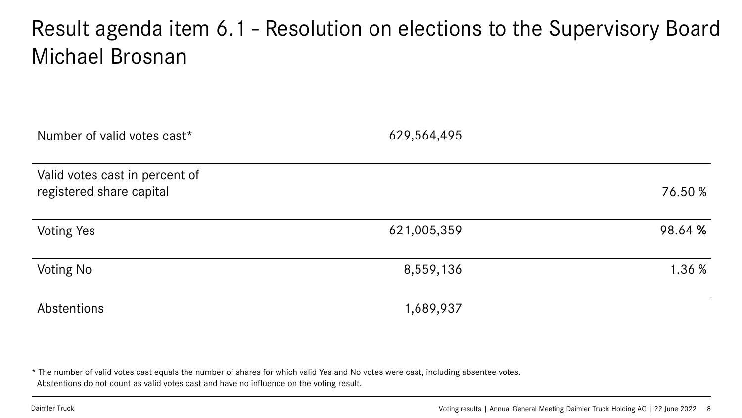#### Result agenda item 6.1 - Resolution on elections to the Supervisory Board Michael Brosnan

| Number of valid votes cast*                                | 629,564,495 |         |
|------------------------------------------------------------|-------------|---------|
| Valid votes cast in percent of<br>registered share capital |             | 76.50 % |
| <b>Voting Yes</b>                                          | 621,005,359 | 98.64 % |
| <b>Voting No</b>                                           | 8,559,136   | 1.36 %  |
| Abstentions                                                | 1,689,937   |         |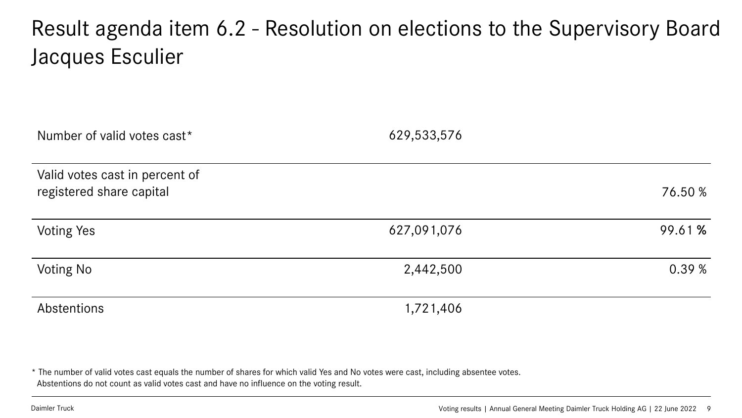#### Result agenda item 6.2 - Resolution on elections to the Supervisory Board Jacques Esculier

| Number of valid votes cast*                                | 629,533,576 |         |
|------------------------------------------------------------|-------------|---------|
| Valid votes cast in percent of<br>registered share capital |             | 76.50 % |
| <b>Voting Yes</b>                                          | 627,091,076 | 99.61 % |
| Voting No                                                  | 2,442,500   | 0.39%   |
| Abstentions                                                | 1,721,406   |         |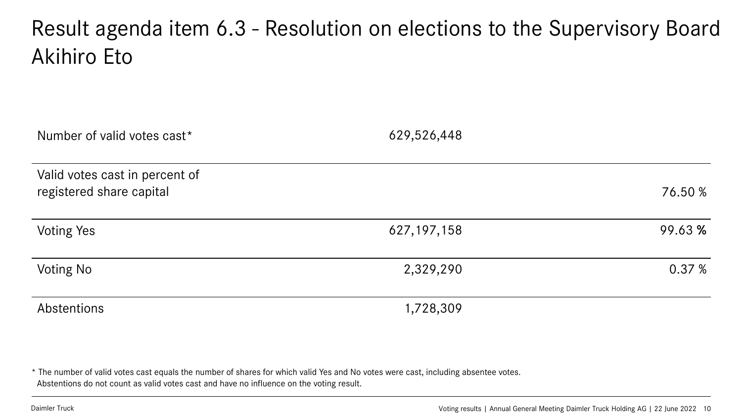#### Result agenda item 6.3 - Resolution on elections to the Supervisory Board Akihiro Eto

| Number of valid votes cast*                                | 629,526,448   |         |
|------------------------------------------------------------|---------------|---------|
| Valid votes cast in percent of<br>registered share capital |               | 76.50 % |
| <b>Voting Yes</b>                                          | 627, 197, 158 | 99.63 % |
| <b>Voting No</b>                                           | 2,329,290     | 0.37%   |
| Abstentions                                                | 1,728,309     |         |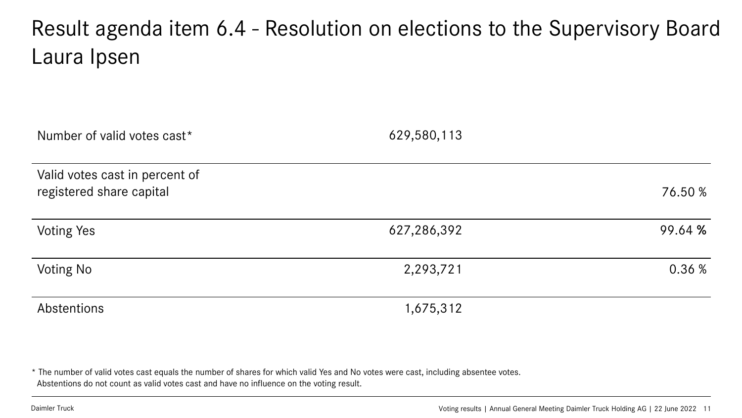#### Result agenda item 6.4 - Resolution on elections to the Supervisory Board Laura Ipsen

| Number of valid votes cast*                                | 629,580,113 |         |
|------------------------------------------------------------|-------------|---------|
| Valid votes cast in percent of<br>registered share capital |             | 76.50 % |
| <b>Voting Yes</b>                                          | 627,286,392 | 99.64 % |
| <b>Voting No</b>                                           | 2,293,721   | 0.36%   |
| Abstentions                                                | 1,675,312   |         |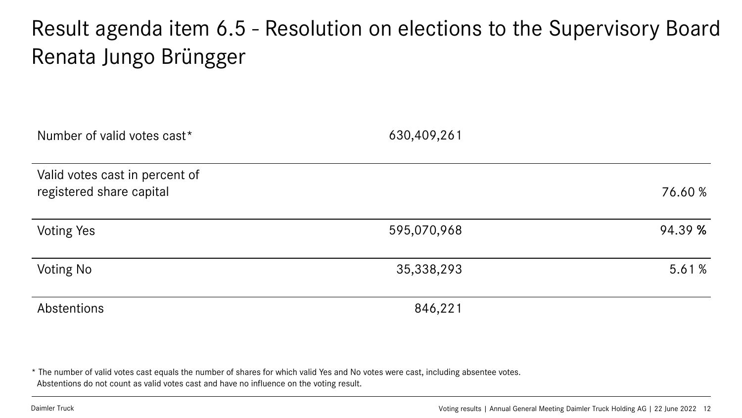#### Result agenda item 6.5 - Resolution on elections to the Supervisory Board Renata Jungo Brüngger

| Number of valid votes cast*                                | 630,409,261 |         |
|------------------------------------------------------------|-------------|---------|
| Valid votes cast in percent of<br>registered share capital |             | 76.60 % |
| <b>Voting Yes</b>                                          | 595,070,968 | 94.39 % |
| <b>Voting No</b>                                           | 35,338,293  | 5.61%   |
| Abstentions                                                | 846,221     |         |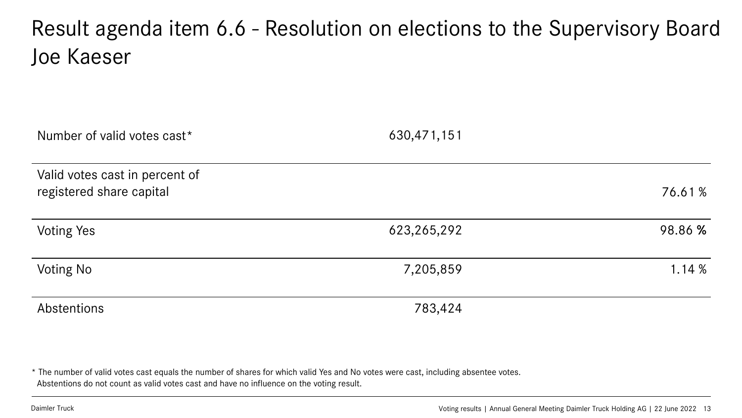#### Result agenda item 6.6 - Resolution on elections to the Supervisory Board Joe Kaeser

| Number of valid votes cast*                                | 630,471,151 |         |
|------------------------------------------------------------|-------------|---------|
| Valid votes cast in percent of<br>registered share capital |             | 76.61%  |
| <b>Voting Yes</b>                                          | 623,265,292 | 98.86 % |
| Voting No                                                  | 7,205,859   | 1.14%   |
| Abstentions                                                | 783,424     |         |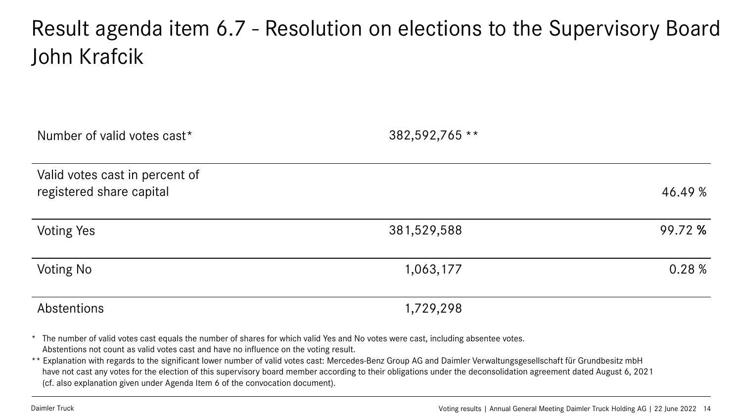#### Result agenda item 6.7 - Resolution on elections to the Supervisory Board John Krafcik

| Number of valid votes cast*                                | 382,592,765 ** |         |
|------------------------------------------------------------|----------------|---------|
| Valid votes cast in percent of<br>registered share capital |                | 46.49 % |
| <b>Voting Yes</b>                                          | 381,529,588    | 99.72 % |
| <b>Voting No</b>                                           | 1,063,177      | 0.28 %  |
| Abstentions                                                | 1,729,298      |         |

\* The number of valid votes cast equals the number of shares for which valid Yes and No votes were cast, including absentee votes. Abstentions not count as valid votes cast and have no influence on the voting result.

\*\* Explanation with regards to the significant lower number of valid votes cast: Mercedes-Benz Group AG and Daimler Verwaltungsgesellschaft für Grundbesitz mbH have not cast any votes for the election of this supervisory board member according to their obligations under the deconsolidation agreement dated August 6, 2021 (cf. also explanation given under Agenda Item 6 of the convocation document).

Daimler Truck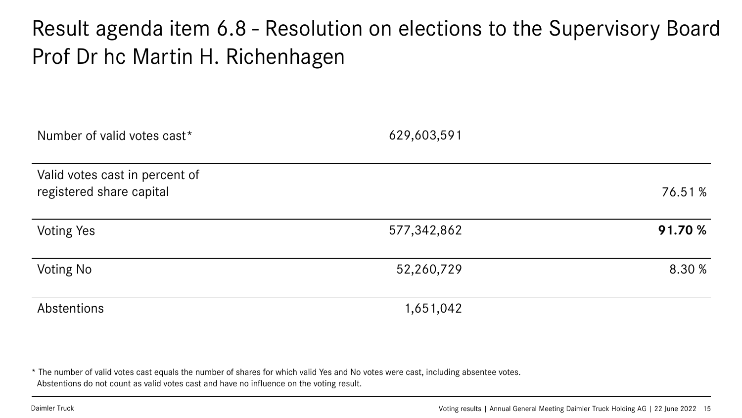#### Result agenda item 6.8 - Resolution on elections to the Supervisory Board Prof Dr hc Martin H. Richenhagen

| Number of valid votes cast*                                | 629,603,591 |         |
|------------------------------------------------------------|-------------|---------|
| Valid votes cast in percent of<br>registered share capital |             | 76.51%  |
| <b>Voting Yes</b>                                          | 577,342,862 | 91.70 % |
| <b>Voting No</b>                                           | 52,260,729  | 8.30 %  |
| Abstentions                                                | 1,651,042   |         |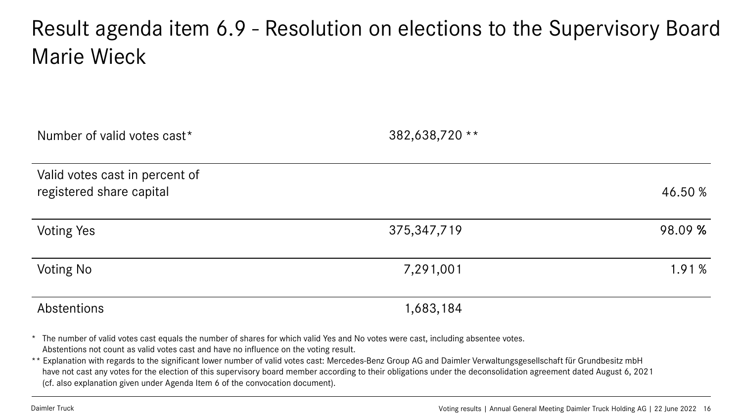#### Result agenda item 6.9 - Resolution on elections to the Supervisory Board Marie Wieck

| Number of valid votes cast*                                | 382,638,720 ** |         |
|------------------------------------------------------------|----------------|---------|
| Valid votes cast in percent of<br>registered share capital |                | 46.50 % |
| <b>Voting Yes</b>                                          | 375, 347, 719  | 98.09 % |
| <b>Voting No</b>                                           | 7,291,001      | 1.91%   |
| Abstentions                                                | 1,683,184      |         |

\* The number of valid votes cast equals the number of shares for which valid Yes and No votes were cast, including absentee votes. Abstentions not count as valid votes cast and have no influence on the voting result.

\*\* Explanation with regards to the significant lower number of valid votes cast: Mercedes-Benz Group AG and Daimler Verwaltungsgesellschaft für Grundbesitz mbH have not cast any votes for the election of this supervisory board member according to their obligations under the deconsolidation agreement dated August 6, 2021 (cf. also explanation given under Agenda Item 6 of the convocation document).

Daimler Truck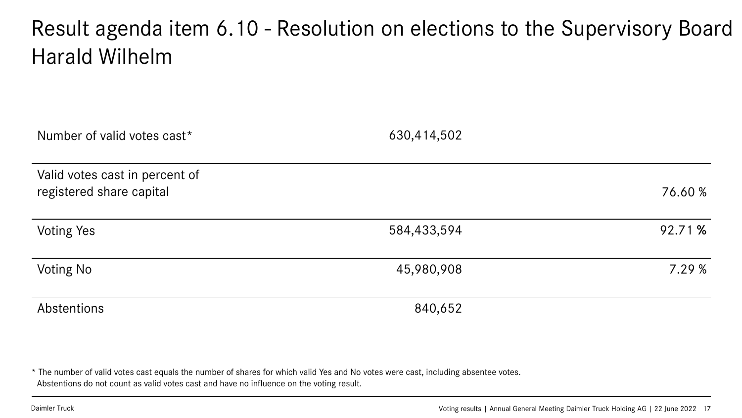#### Result agenda item 6.10 - Resolution on elections to the Supervisory Board Harald Wilhelm

| Number of valid votes cast*                                | 630,414,502 |         |
|------------------------------------------------------------|-------------|---------|
| Valid votes cast in percent of<br>registered share capital |             | 76.60 % |
| <b>Voting Yes</b>                                          | 584,433,594 | 92.71 % |
| <b>Voting No</b>                                           | 45,980,908  | 7.29 %  |
| Abstentions                                                | 840,652     |         |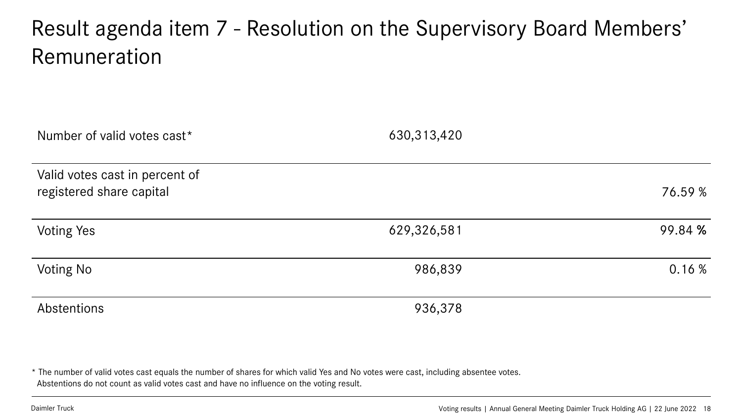#### Result agenda item 7 - Resolution on the Supervisory Board Members' Remuneration

| Number of valid votes cast*                                | 630,313,420 |         |
|------------------------------------------------------------|-------------|---------|
| Valid votes cast in percent of<br>registered share capital |             | 76.59 % |
| <b>Voting Yes</b>                                          | 629,326,581 | 99.84 % |
| <b>Voting No</b>                                           | 986,839     | 0.16%   |
| Abstentions                                                | 936,378     |         |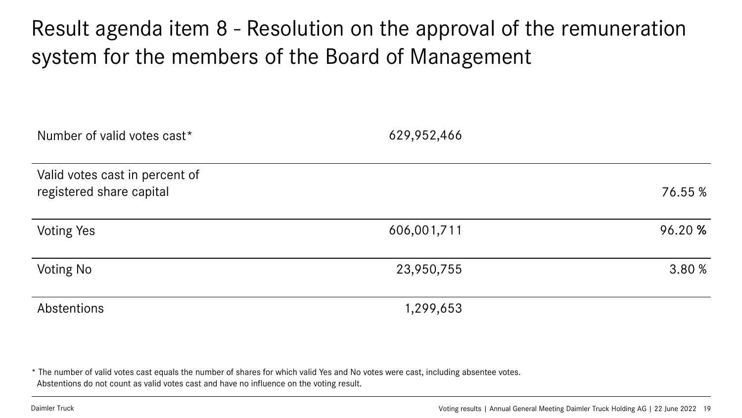#### Result agenda item 8 - Resolution on the approval of the remuneration system for the members of the Board of Management

| Number of valid votes cast*                                | 629,952,466 |         |
|------------------------------------------------------------|-------------|---------|
| Valid votes cast in percent of<br>registered share capital |             | 76.55 % |
| <b>Voting Yes</b>                                          | 606,001,711 | 96.20 % |
| Voting No                                                  | 23,950,755  | 3.80 %  |
| Abstentions                                                | 1,299,653   |         |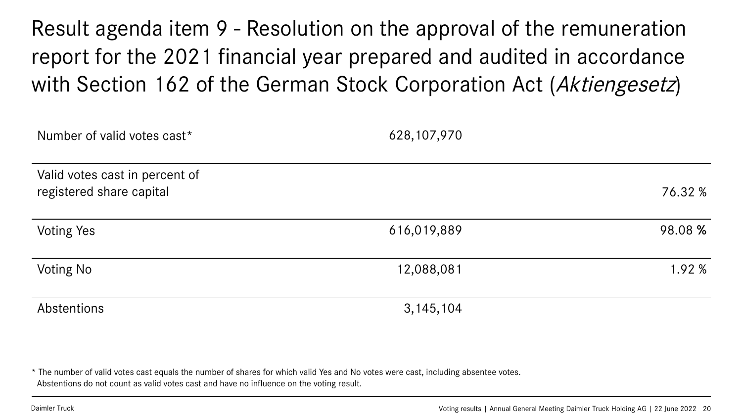Result agenda item 9 - Resolution on the approval of the remuneration report for the 2021 financial year prepared and audited in accordance with Section 162 of the German Stock Corporation Act (Aktiengesetz)

| Number of valid votes cast*                                | 628, 107, 970 |         |
|------------------------------------------------------------|---------------|---------|
| Valid votes cast in percent of<br>registered share capital |               | 76.32 % |
| <b>Voting Yes</b>                                          | 616,019,889   | 98.08 % |
| Voting No                                                  | 12,088,081    | 1.92 %  |
| Abstentions                                                | 3, 145, 104   |         |